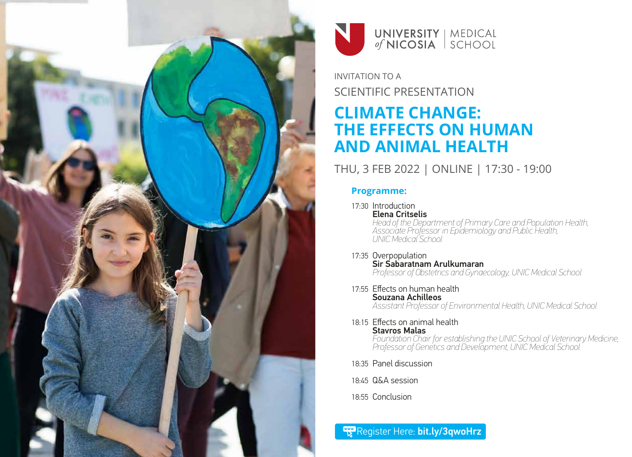



INVITATION TO A SCIENTIFIC PRESENTATION

# **CLIMATE CHANGE: THE EFFECTS ON HUMAN AND ANIMAL HEALTH**

# THU, 3 FEB 2022 | ONLINE | 17:30 - 19:00

#### **Programme:**

- 17:30 Introduction Elena Critselis *Head of the Department of Primary Care and Population Health, Associate Professor in Epidemiology and Public Health, UNIC Medical School*
- 17:35 Overpopulation Sir Sabaratnam Arulkumaran *Professor of Obstetrics and Gynaecology, UNIC Medical School*
- 17:55 Effects on human health Souzana Achilleos *Assistant Professor of Environmental Health, UNIC Medical School*
- 18:15 Effects on animal health Stavros Malas *Foundation Chair for establishing the UNIC School of Veterinary Medicine, Professor of Genetics and Development, UNIC Medical School*
- 18:35 Panel discussion
- 18:45 Q&A session
- 18:55 Conclusion

## Register Here: [bit.ly/3qwoHrz](https://bit.ly/3qwoHrz)